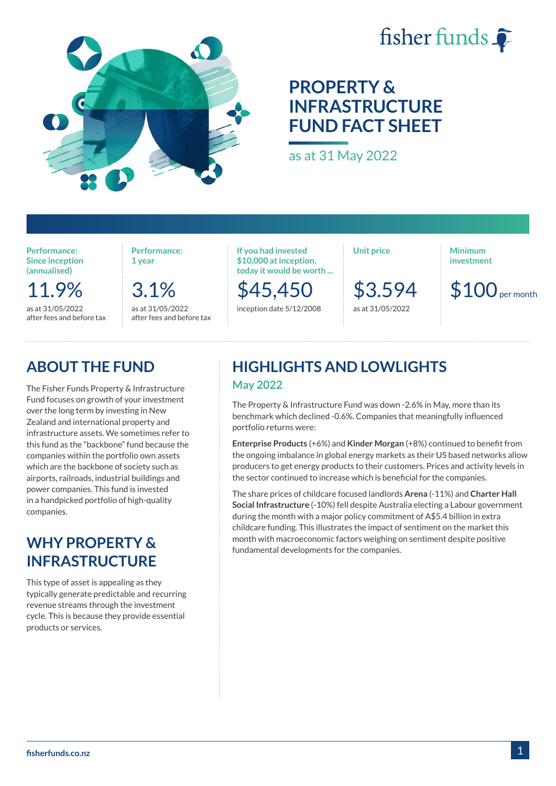

# fisher funds

# **PROPERTY & INFRASTRUCTURE FUND FACT SHEET**

as at 31 May 2022

**Performance: Since inception (annualised)**

11.9% as at 31/05/2022 after fees and before tax

3.1%

as at 31/05/2022 after fees and before tax

**Performance: 1 year**

**If you had invested \$10,000 at inception, today it would be worth ...**

\$45,450 inception date 5/12/2008 **Unit price**

\$3.594 as at 31/05/2022

**Minimum investment**

 $$100$ <sub>per month</sub>

### **ABOUT THE FUND**

The Fisher Funds Property & Infrastructure Fund focuses on growth of your investment over the long term by investing in New Zealand and international property and infrastructure assets. We sometimes refer to this fund as the "backbone" fund because the companies within the portfolio own assets which are the backbone of society such as airports, railroads, industrial buildings and power companies. This fund is invested in a handpicked portfolio of high-quality companies.

### **WHY PROPERTY & INFRASTRUCTURE**

This type of asset is appealing as they typically generate predictable and recurring revenue streams through the investment cycle. This is because they provide essential products or services.

### **HIGHLIGHTS AND LOWLIGHTS May 2022**

The Property & Infrastructure Fund was down -2.6% in May, more than its benchmark which declined -0.6%. Companies that meaningfully influenced portfolio returns were:

**Enterprise Products** (+6%) and **Kinder Morgan** (+8%) continued to benefit from the ongoing imbalance in global energy markets as their US based networks allow producers to get energy products to their customers. Prices and activity levels in the sector continued to increase which is beneficial for the companies.

The share prices of childcare focused landlords **Arena** (-11%) and **Charter Hall Social Infrastructure** (-10%) fell despite Australia electing a Labour government during the month with a major policy commitment of A\$5.4 billion in extra childcare funding. This illustrates the impact of sentiment on the market this month with macroeconomic factors weighing on sentiment despite positive fundamental developments for the companies.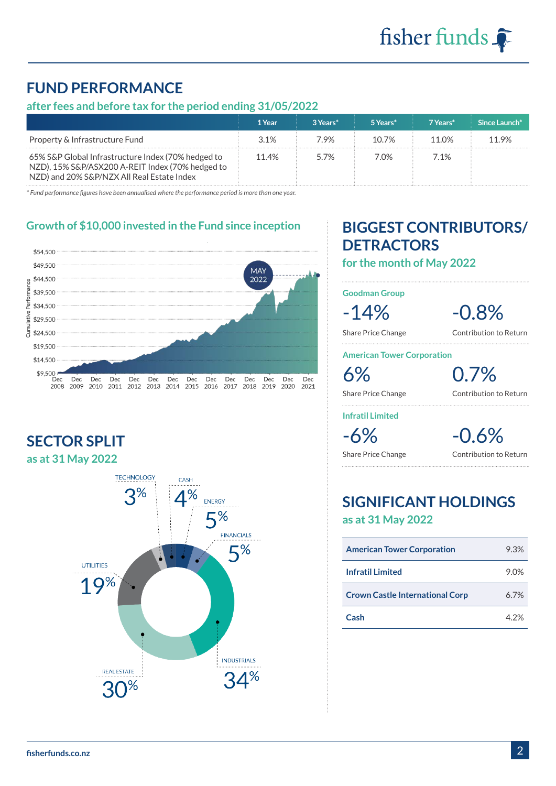# **FUND PERFORMANCE**

### **after fees and before tax for the period ending 31/05/2022**

|                                                                                                                                                      | 1 Year | 3 Years* | 5 Years* | 7 Years*          | Since Launch* |
|------------------------------------------------------------------------------------------------------------------------------------------------------|--------|----------|----------|-------------------|---------------|
| Property & Infrastructure Fund                                                                                                                       | 31%    | 7 9%     | $10.7\%$ | 11 0 <sup>%</sup> | 11.9%         |
| 65% S&P Global Infrastructure Index (70% hedged to<br>NZD), 15% S&P/ASX200 A-REIT Index (70% hedged to<br>NZD) and 20% S&P/NZX All Real Estate Index | 11.4%  | 57%      | 7.0%     | 71%               |               |

*\* Fund performance figures have been annualised where the performance period is more than one year.*

#### **Growth of \$10,000 invested in the Fund since inception**



**SECTOR SPLIT as at 31 May 2022**



# **BIGGEST CONTRIBUTORS/ DETRACTORS**

**for the month of May 2022**

**Goodman Group**

-14% -0.8%

Share Price Change Contribution to Return

**American Tower Corporation**

6% 0.7%

Share Price Change Contribution to Return

**Infratil Limited**

-6% -0.6%

Share Price Change Contribution to Return

### **SIGNIFICANT HOLDINGS as at 31 May 2022**

| <b>American Tower Corporation</b>      | 9.3% |
|----------------------------------------|------|
| <b>Infratil Limited</b>                | 9.0% |
| <b>Crown Castle International Corp</b> | 6.7% |
| Cash                                   | 4.2% |